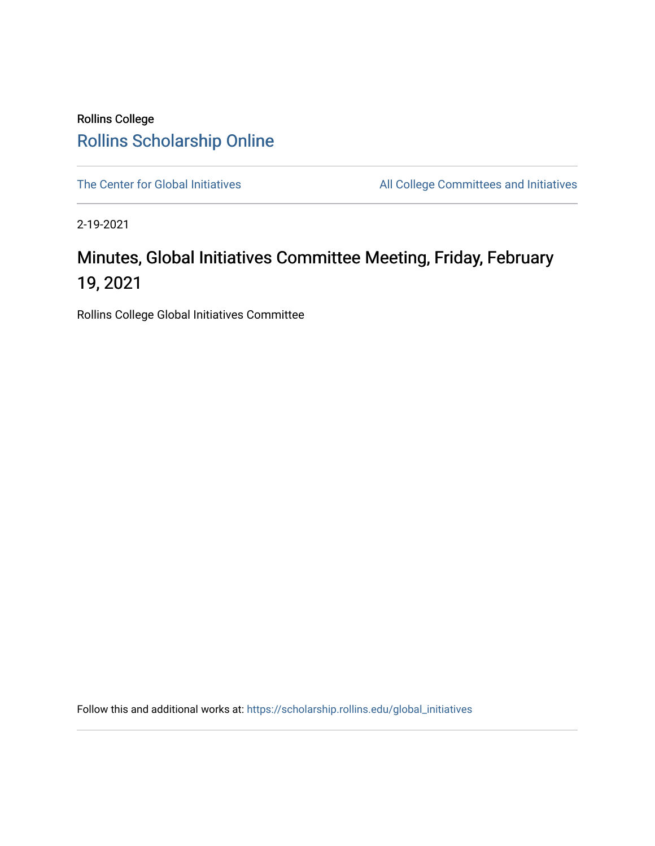## Rollins College [Rollins Scholarship Online](https://scholarship.rollins.edu/)

[The Center for Global Initiatives](https://scholarship.rollins.edu/global_initiatives) All College Committees and Initiatives

2-19-2021

## Minutes, Global Initiatives Committee Meeting, Friday, February 19, 2021

Rollins College Global Initiatives Committee

Follow this and additional works at: [https://scholarship.rollins.edu/global\\_initiatives](https://scholarship.rollins.edu/global_initiatives?utm_source=scholarship.rollins.edu%2Fglobal_initiatives%2F18&utm_medium=PDF&utm_campaign=PDFCoverPages)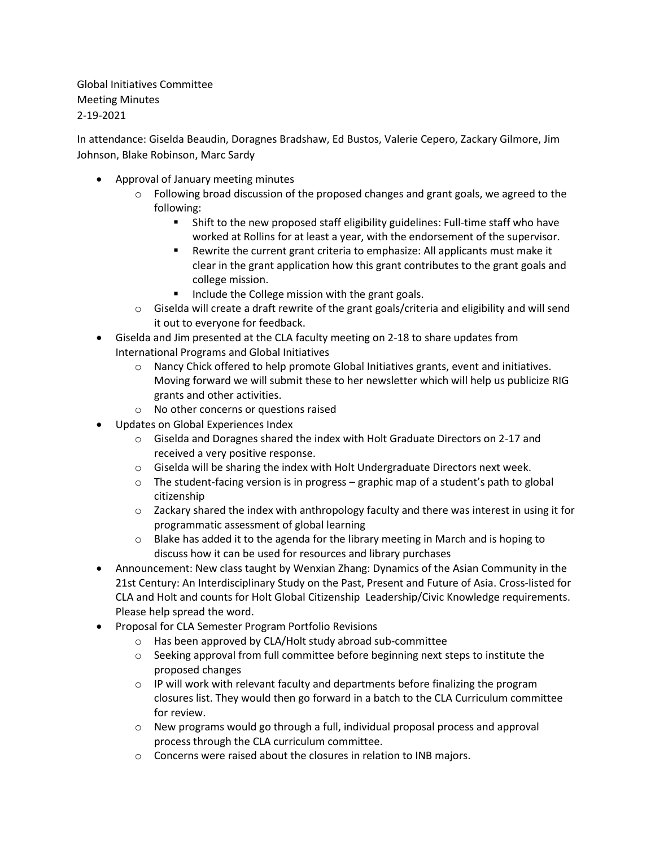Global Initiatives Committee Meeting Minutes 2-19-2021

In attendance: Giselda Beaudin, Doragnes Bradshaw, Ed Bustos, Valerie Cepero, Zackary Gilmore, Jim Johnson, Blake Robinson, Marc Sardy

- Approval of January meeting minutes
	- $\circ$  Following broad discussion of the proposed changes and grant goals, we agreed to the following:
		- Shift to the new proposed staff eligibility guidelines: Full-time staff who have worked at Rollins for at least a year, with the endorsement of the supervisor.
		- Rewrite the current grant criteria to emphasize: All applicants must make it clear in the grant application how this grant contributes to the grant goals and college mission.
		- Include the College mission with the grant goals.
	- $\circ$  Giselda will create a draft rewrite of the grant goals/criteria and eligibility and will send it out to everyone for feedback.
- Giselda and Jim presented at the CLA faculty meeting on 2-18 to share updates from International Programs and Global Initiatives
	- $\circ$  Nancy Chick offered to help promote Global Initiatives grants, event and initiatives. Moving forward we will submit these to her newsletter which will help us publicize RIG grants and other activities.
	- o No other concerns or questions raised
- Updates on Global Experiences Index
	- $\circ$  Giselda and Doragnes shared the index with Holt Graduate Directors on 2-17 and received a very positive response.
	- $\circ$  Giselda will be sharing the index with Holt Undergraduate Directors next week.
	- $\circ$  The student-facing version is in progress graphic map of a student's path to global citizenship
	- $\circ$  Zackary shared the index with anthropology faculty and there was interest in using it for programmatic assessment of global learning
	- $\circ$  Blake has added it to the agenda for the library meeting in March and is hoping to discuss how it can be used for resources and library purchases
- Announcement: New class taught by Wenxian Zhang: Dynamics of the Asian Community in the 21st Century: An Interdisciplinary Study on the Past, Present and Future of Asia. Cross-listed for CLA and Holt and counts for Holt Global Citizenship Leadership/Civic Knowledge requirements. Please help spread the word.
- Proposal for CLA Semester Program Portfolio Revisions
	- o Has been approved by CLA/Holt study abroad sub-committee
	- $\circ$  Seeking approval from full committee before beginning next steps to institute the proposed changes
	- $\circ$  IP will work with relevant faculty and departments before finalizing the program closures list. They would then go forward in a batch to the CLA Curriculum committee for review.
	- $\circ$  New programs would go through a full, individual proposal process and approval process through the CLA curriculum committee.
	- o Concerns were raised about the closures in relation to INB majors.